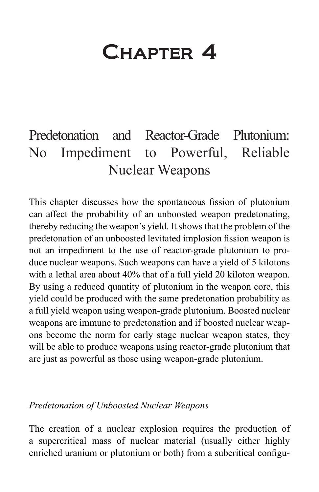# Chapter 4

# Predetonation and Reactor-Grade Plutonium: No Impediment to Powerful, Reliable Nuclear Weapons

This chapter discusses how the spontaneous fission of plutonium can affect the probability of an unboosted weapon predetonating, thereby reducing the weapon's yield. It shows that the problem of the predetonation of an unboosted levitated implosion fission weapon is not an impediment to the use of reactor-grade plutonium to produce nuclear weapons. Such weapons can have a yield of 5 kilotons with a lethal area about 40% that of a full yield 20 kiloton weapon. By using a reduced quantity of plutonium in the weapon core, this yield could be produced with the same predetonation probability as a full yield weapon using weapon-grade plutonium. Boosted nuclear weapons are immune to predetonation and if boosted nuclear weapons become the norm for early stage nuclear weapon states, they will be able to produce weapons using reactor-grade plutonium that are just as powerful as those using weapon-grade plutonium.

#### *Predetonation of Unboosted Nuclear Weapons*

The creation of a nuclear explosion requires the production of a supercritical mass of nuclear material (usually either highly enriched uranium or plutonium or both) from a subcritical configu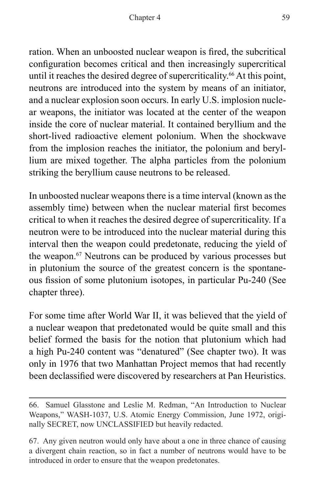ration. When an unboosted nuclear weapon is fired, the subcritical configuration becomes critical and then increasingly supercritical until it reaches the desired degree of supercriticality.<sup>66</sup> At this point, neutrons are introduced into the system by means of an initiator, and a nuclear explosion soon occurs. In early U.S. implosion nuclear weapons, the initiator was located at the center of the weapon inside the core of nuclear material. It contained beryllium and the short-lived radioactive element polonium. When the shockwave from the implosion reaches the initiator, the polonium and beryllium are mixed together. The alpha particles from the polonium striking the beryllium cause neutrons to be released.

In unboosted nuclear weapons there is a time interval (known as the assembly time) between when the nuclear material first becomes critical to when it reaches the desired degree of supercriticality. If a neutron were to be introduced into the nuclear material during this interval then the weapon could predetonate, reducing the yield of the weapon.<sup>67</sup> Neutrons can be produced by various processes but in plutonium the source of the greatest concern is the spontaneous fission of some plutonium isotopes, in particular Pu-240 (See chapter three).

For some time after World War II, it was believed that the yield of a nuclear weapon that predetonated would be quite small and this belief formed the basis for the notion that plutonium which had a high Pu-240 content was "denatured" (See chapter two). It was only in 1976 that two Manhattan Project memos that had recently been declassified were discovered by researchers at Pan Heuristics.

<sup>66.</sup> Samuel Glasstone and Leslie M. Redman, "An Introduction to Nuclear Weapons," WASH-1037, U.S. Atomic Energy Commission, June 1972, originally SECRET, now UNCLASSIFIED but heavily redacted.

<sup>67.</sup> Any given neutron would only have about a one in three chance of causing a divergent chain reaction, so in fact a number of neutrons would have to be introduced in order to ensure that the weapon predetonates.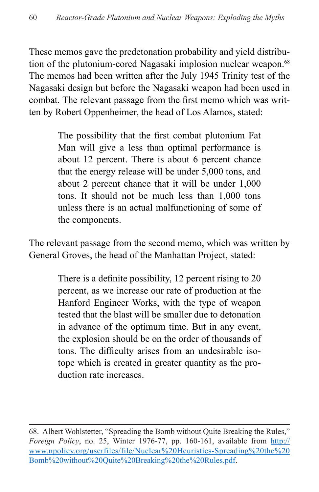These memos gave the predetonation probability and yield distribution of the plutonium-cored Nagasaki implosion nuclear weapon.<sup>68</sup> The memos had been written after the July 1945 Trinity test of the Nagasaki design but before the Nagasaki weapon had been used in combat. The relevant passage from the first memo which was written by Robert Oppenheimer, the head of Los Alamos, stated:

> The possibility that the first combat plutonium Fat Man will give a less than optimal performance is about 12 percent. There is about 6 percent chance that the energy release will be under 5,000 tons, and about 2 percent chance that it will be under 1,000 tons. It should not be much less than 1,000 tons unless there is an actual malfunctioning of some of the components.

The relevant passage from the second memo, which was written by General Groves, the head of the Manhattan Project, stated:

> There is a definite possibility, 12 percent rising to 20 percent, as we increase our rate of production at the Hanford Engineer Works, with the type of weapon tested that the blast will be smaller due to detonation in advance of the optimum time. But in any event, the explosion should be on the order of thousands of tons. The difficulty arises from an undesirable isotope which is created in greater quantity as the production rate increases.

<sup>68.</sup> Albert Wohlstetter, "Spreading the Bomb without Quite Breaking the Rules," *Foreign Policy*, no. 25, Winter 1976-77, pp. 160-161, available from [http://](http://www.npolicy.org/userfiles/file/Nuclear%20Heuristics-Spreading%20the%20Bomb%20without%20Quite%20Breaking%20the%20Rules.pdf) [www.npolicy.org/userfiles/file/Nuclear%20Heuristics-Spreading%20the%20](http://www.npolicy.org/userfiles/file/Nuclear%20Heuristics-Spreading%20the%20Bomb%20without%20Quite%20Breaking%20the%20Rules.pdf) [Bomb%20without%20Quite%20Breaking%20the%20Rules.pdf](http://www.npolicy.org/userfiles/file/Nuclear%20Heuristics-Spreading%20the%20Bomb%20without%20Quite%20Breaking%20the%20Rules.pdf).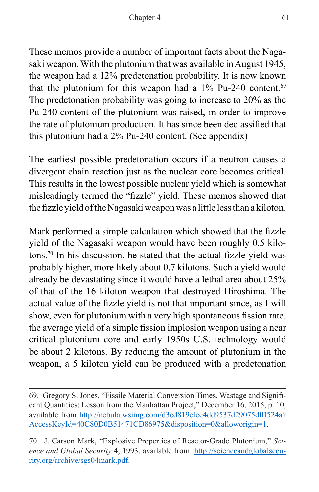These memos provide a number of important facts about the Nagasaki weapon. With the plutonium that was available in August 1945, the weapon had a 12% predetonation probability. It is now known that the plutonium for this weapon had a  $1\%$  Pu-240 content.<sup>69</sup> The predetonation probability was going to increase to 20% as the Pu-240 content of the plutonium was raised, in order to improve the rate of plutonium production. It has since been declassified that this plutonium had a 2% Pu-240 content. (See appendix)

The earliest possible predetonation occurs if a neutron causes a divergent chain reaction just as the nuclear core becomes critical. This results in the lowest possible nuclear yield which is somewhat misleadingly termed the "fizzle" yield. These memos showed that the fizzle yield of the Nagasaki weapon was a little less than a kiloton.

Mark performed a simple calculation which showed that the fizzle yield of the Nagasaki weapon would have been roughly 0.5 kilotons.70 In his discussion, he stated that the actual fizzle yield was probably higher, more likely about 0.7 kilotons. Such a yield would already be devastating since it would have a lethal area about 25% of that of the 16 kiloton weapon that destroyed Hiroshima. The actual value of the fizzle yield is not that important since, as I will show, even for plutonium with a very high spontaneous fission rate, the average yield of a simple fission implosion weapon using a near critical plutonium core and early 1950s U.S. technology would be about 2 kilotons. By reducing the amount of plutonium in the weapon, a 5 kiloton yield can be produced with a predetonation

<sup>69.</sup> Gregory S. Jones, "Fissile Material Conversion Times, Wastage and Significant Quantities: Lesson from the Manhattan Project," December 16, 2015, p. 10, available from [http://nebula.wsimg.com/d3cd819efec4dd9537d29075dfff524a?](http://nebula.wsimg.com/d3cd819efec4dd9537d29075dfff524a?AccessKeyId=40C80D0B51471CD86975&disposition=0&alloworigin=1) [AccessKeyId=40C80D0B51471CD86975&disposition=0&alloworigin=1](http://nebula.wsimg.com/d3cd819efec4dd9537d29075dfff524a?AccessKeyId=40C80D0B51471CD86975&disposition=0&alloworigin=1).

<sup>70.</sup> J. Carson Mark, "Explosive Properties of Reactor-Grade Plutonium," *Science and Global Security* 4, 1993, available from [http://scienceandglobalsecu](http://scienceandglobalsecurity.org/archive/sgs04mark.pdf)[rity.org/archive/sgs04mark.pdf](http://scienceandglobalsecurity.org/archive/sgs04mark.pdf).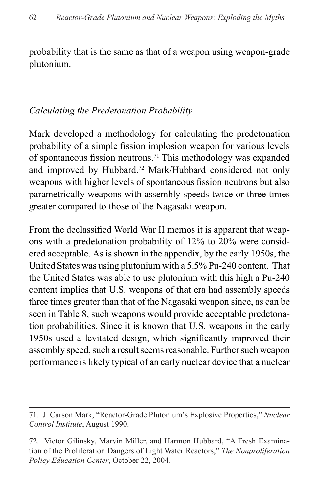probability that is the same as that of a weapon using weapon-grade plutonium.

#### *Calculating the Predetonation Probability*

Mark developed a methodology for calculating the predetonation probability of a simple fission implosion weapon for various levels of spontaneous fission neutrons.71 This methodology was expanded and improved by Hubbard.72 Mark/Hubbard considered not only weapons with higher levels of spontaneous fission neutrons but also parametrically weapons with assembly speeds twice or three times greater compared to those of the Nagasaki weapon.

From the declassified World War II memos it is apparent that weapons with a predetonation probability of 12% to 20% were considered acceptable. As is shown in the appendix, by the early 1950s, the United States was using plutonium with a 5.5% Pu-240 content. That the United States was able to use plutonium with this high a Pu-240 content implies that U.S. weapons of that era had assembly speeds three times greater than that of the Nagasaki weapon since, as can be seen in Table 8, such weapons would provide acceptable predetonation probabilities. Since it is known that U.S. weapons in the early 1950s used a levitated design, which significantly improved their assembly speed, such a result seems reasonable. Further such weapon performance is likely typical of an early nuclear device that a nuclear

<sup>71.</sup> J. Carson Mark, "Reactor-Grade Plutonium's Explosive Properties," *Nuclear Control Institute*, August 1990.

<sup>72.</sup> Victor Gilinsky, Marvin Miller, and Harmon Hubbard, "A Fresh Examination of the Proliferation Dangers of Light Water Reactors," *The Nonproliferation Policy Education Center*, October 22, 2004.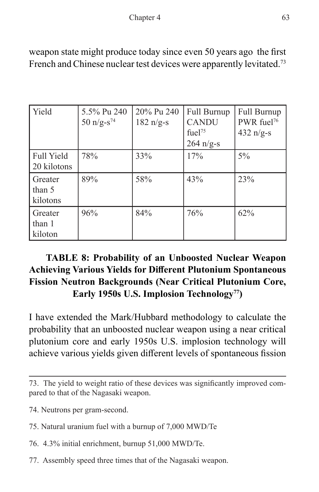| Yield                            | 5.5% Pu 240<br>50 $n/g-s^{74}$ | 20% Pu 240<br>$182 \text{ n/g-s}$ | Full Burnup<br><b>CANDU</b><br>fuel <sup>75</sup><br>$264 \text{ n/g-s}$ | Full Burnup<br>PWR fuel <sup>76</sup><br>432 $n/g-s$ |
|----------------------------------|--------------------------------|-----------------------------------|--------------------------------------------------------------------------|------------------------------------------------------|
| <b>Full Yield</b><br>20 kilotons | 78%                            | 33%                               | 17%                                                                      | $5\%$                                                |
| Greater<br>than 5<br>kilotons    | 89%                            | 58%                               | 43%                                                                      | 23%                                                  |
| Greater<br>than 1<br>kiloton     | 96%                            | 84%                               | 76%                                                                      | 62%                                                  |

weapon state might produce today since even 50 years ago the first French and Chinese nuclear test devices were apparently levitated.<sup>73</sup>

# **TABLE 8: Probability of an Unboosted Nuclear Weapon Achieving Various Yields for Different Plutonium Spontaneous Fission Neutron Backgrounds (Near Critical Plutonium Core, Early 1950s U.S. Implosion Technology77)**

I have extended the Mark/Hubbard methodology to calculate the probability that an unboosted nuclear weapon using a near critical plutonium core and early 1950s U.S. implosion technology will achieve various yields given different levels of spontaneous fission

- 74. Neutrons per gram-second.
- 75. Natural uranium fuel with a burnup of 7,000 MWD/Te
- 76. 4.3% initial enrichment, burnup 51,000 MWD/Te.
- 77. Assembly speed three times that of the Nagasaki weapon.

<sup>73.</sup> The yield to weight ratio of these devices was significantly improved compared to that of the Nagasaki weapon.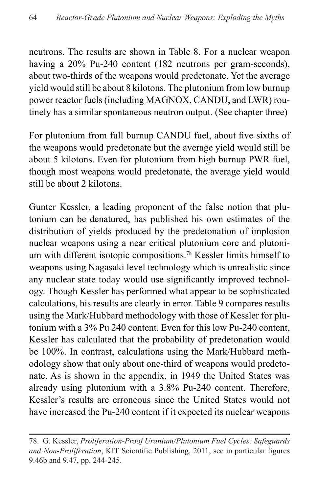neutrons. The results are shown in Table 8. For a nuclear weapon having a 20% Pu-240 content (182 neutrons per gram-seconds), about two-thirds of the weapons would predetonate. Yet the average yield would still be about 8 kilotons. The plutonium from low burnup power reactor fuels (including MAGNOX, CANDU, and LWR) routinely has a similar spontaneous neutron output. (See chapter three)

For plutonium from full burnup CANDU fuel, about five sixths of the weapons would predetonate but the average yield would still be about 5 kilotons. Even for plutonium from high burnup PWR fuel, though most weapons would predetonate, the average yield would still be about 2 kilotons.

Gunter Kessler, a leading proponent of the false notion that plutonium can be denatured, has published his own estimates of the distribution of yields produced by the predetonation of implosion nuclear weapons using a near critical plutonium core and plutonium with different isotopic compositions.<sup>78</sup> Kessler limits himself to weapons using Nagasaki level technology which is unrealistic since any nuclear state today would use significantly improved technology. Though Kessler has performed what appear to be sophisticated calculations, his results are clearly in error. Table 9 compares results using the Mark/Hubbard methodology with those of Kessler for plutonium with a 3% Pu 240 content. Even for this low Pu-240 content, Kessler has calculated that the probability of predetonation would be 100%. In contrast, calculations using the Mark/Hubbard methodology show that only about one-third of weapons would predetonate. As is shown in the appendix, in 1949 the United States was already using plutonium with a 3.8% Pu-240 content. Therefore, Kessler's results are erroneous since the United States would not have increased the Pu-240 content if it expected its nuclear weapons

<sup>78.</sup> G. Kessler, *Proliferation-Proof Uranium/Plutonium Fuel Cycles: Safeguards and Non-Proliferation*, KIT Scientific Publishing, 2011, see in particular figures 9.46b and 9.47, pp. 244-245.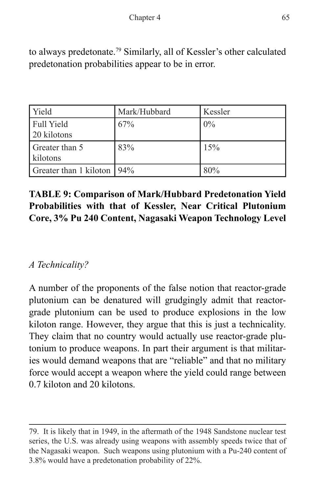to always predetonate.79 Similarly, all of Kessler's other calculated predetonation probabilities appear to be in error.

| <b>Yield</b>                 | Mark/Hubbard | Kessler |
|------------------------------|--------------|---------|
| Full Yield                   | 67%          | $0\%$   |
| 20 kilotons                  |              |         |
| Greater than 5               | 83%          | 15%     |
| kilotons                     |              |         |
| Greater than 1 kiloton   94% |              | 80%     |

# **TABLE 9: Comparison of Mark/Hubbard Predetonation Yield Probabilities with that of Kessler, Near Critical Plutonium Core, 3% Pu 240 Content, Nagasaki Weapon Technology Level**

# *A Technicality?*

A number of the proponents of the false notion that reactor-grade plutonium can be denatured will grudgingly admit that reactorgrade plutonium can be used to produce explosions in the low kiloton range. However, they argue that this is just a technicality. They claim that no country would actually use reactor-grade plutonium to produce weapons. In part their argument is that militaries would demand weapons that are "reliable" and that no military force would accept a weapon where the yield could range between 0.7 kiloton and 20 kilotons.

<sup>79.</sup> It is likely that in 1949, in the aftermath of the 1948 Sandstone nuclear test series, the U.S. was already using weapons with assembly speeds twice that of the Nagasaki weapon. Such weapons using plutonium with a Pu-240 content of 3.8% would have a predetonation probability of 22%.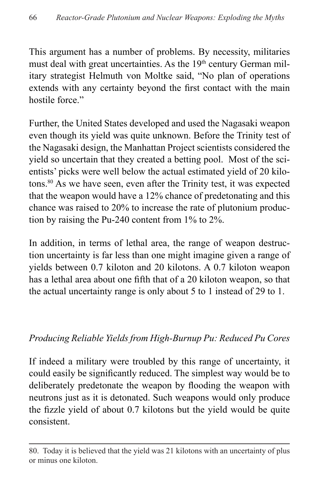This argument has a number of problems. By necessity, militaries must deal with great uncertainties. As the 19<sup>th</sup> century German military strategist Helmuth von Moltke said, "No plan of operations extends with any certainty beyond the first contact with the main hostile force."

Further, the United States developed and used the Nagasaki weapon even though its yield was quite unknown. Before the Trinity test of the Nagasaki design, the Manhattan Project scientists considered the yield so uncertain that they created a betting pool. Most of the scientists' picks were well below the actual estimated yield of 20 kilotons.80 As we have seen, even after the Trinity test, it was expected that the weapon would have a 12% chance of predetonating and this chance was raised to 20% to increase the rate of plutonium production by raising the Pu-240 content from 1% to 2%.

In addition, in terms of lethal area, the range of weapon destruction uncertainty is far less than one might imagine given a range of yields between 0.7 kiloton and 20 kilotons. A 0.7 kiloton weapon has a lethal area about one fifth that of a 20 kiloton weapon, so that the actual uncertainty range is only about 5 to 1 instead of 29 to 1.

#### *Producing Reliable Yields from High-Burnup Pu: Reduced Pu Cores*

If indeed a military were troubled by this range of uncertainty, it could easily be significantly reduced. The simplest way would be to deliberately predetonate the weapon by flooding the weapon with neutrons just as it is detonated. Such weapons would only produce the fizzle yield of about 0.7 kilotons but the yield would be quite consistent.

<sup>80.</sup> Today it is believed that the yield was 21 kilotons with an uncertainty of plus or minus one kiloton.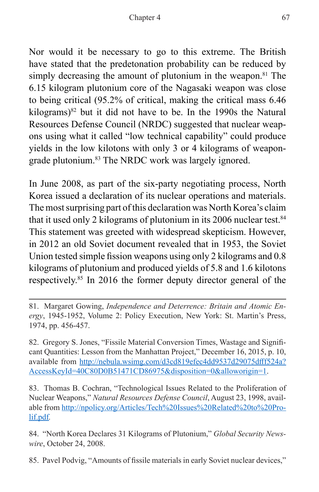Nor would it be necessary to go to this extreme. The British have stated that the predetonation probability can be reduced by simply decreasing the amount of plutonium in the weapon.<sup>81</sup> The 6.15 kilogram plutonium core of the Nagasaki weapon was close to being critical (95.2% of critical, making the critical mass 6.46 kilograms)82 but it did not have to be. In the 1990s the Natural Resources Defense Council (NRDC) suggested that nuclear weapons using what it called "low technical capability" could produce yields in the low kilotons with only 3 or 4 kilograms of weapongrade plutonium.<sup>83</sup> The NRDC work was largely ignored.

In June 2008, as part of the six-party negotiating process, North Korea issued a declaration of its nuclear operations and materials. The most surprising part of this declaration was North Korea's claim that it used only 2 kilograms of plutonium in its 2006 nuclear test.<sup>84</sup> This statement was greeted with widespread skepticism. However, in 2012 an old Soviet document revealed that in 1953, the Soviet Union tested simple fission weapons using only 2 kilograms and 0.8 kilograms of plutonium and produced yields of 5.8 and 1.6 kilotons respectively.85 In 2016 the former deputy director general of the

82. Gregory S. Jones, "Fissile Material Conversion Times, Wastage and Significant Quantities: Lesson from the Manhattan Project," December 16, 2015, p. 10, available from [http://nebula.wsimg.com/d3cd819efec4dd9537d29075dfff524a?](http://nebula.wsimg.com/d3cd819efec4dd9537d29075dfff524a?AccessKeyId=40C80D0B51471CD86975&disposition=0&alloworigin=1) [AccessKeyId=40C80D0B51471CD86975&disposition=0&alloworigin=1](http://nebula.wsimg.com/d3cd819efec4dd9537d29075dfff524a?AccessKeyId=40C80D0B51471CD86975&disposition=0&alloworigin=1).

83. Thomas B. Cochran, "Technological Issues Related to the Proliferation of Nuclear Weapons," *Natural Resources Defense Council*, August 23, 1998, available from [http://npolicy.org/Articles/Tech%20Issues%20Related%20to%20Pro](http://npolicy.org/Articles/Tech%20Issues%20Related%20to%20Prolif.pdf)[lif.pdf](http://npolicy.org/Articles/Tech%20Issues%20Related%20to%20Prolif.pdf)*.*

84. "North Korea Declares 31 Kilograms of Plutonium," *Global Security Newswire*, October 24, 2008.

85. Pavel Podvig, "Amounts of fissile materials in early Soviet nuclear devices,"

<sup>81.</sup> Margaret Gowing, *Independence and Deterrence: Britain and Atomic Energy*, 1945-1952, Volume 2: Policy Execution, New York: St. Martin's Press, 1974, pp. 456-457.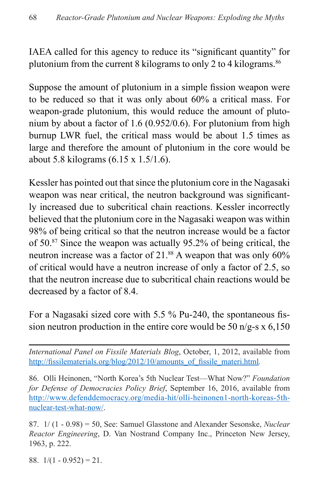IAEA called for this agency to reduce its "significant quantity" for plutonium from the current 8 kilograms to only 2 to 4 kilograms.<sup>86</sup>

Suppose the amount of plutonium in a simple fission weapon were to be reduced so that it was only about 60% a critical mass. For weapon-grade plutonium, this would reduce the amount of plutonium by about a factor of 1.6 (0.952/0.6). For plutonium from high burnup LWR fuel, the critical mass would be about 1.5 times as large and therefore the amount of plutonium in the core would be about 5.8 kilograms (6.15 x 1.5/1.6).

Kessler has pointed out that since the plutonium core in the Nagasaki weapon was near critical, the neutron background was significantly increased due to subcritical chain reactions. Kessler incorrectly believed that the plutonium core in the Nagasaki weapon was within 98% of being critical so that the neutron increase would be a factor of 50.87 Since the weapon was actually 95.2% of being critical, the neutron increase was a factor of 21.<sup>88</sup> A weapon that was only 60% of critical would have a neutron increase of only a factor of 2.5, so that the neutron increase due to subcritical chain reactions would be decreased by a factor of 8.4.

For a Nagasaki sized core with 5.5 % Pu-240, the spontaneous fission neutron production in the entire core would be 50  $n/g-s \times 6,150$ 

*International Panel on Fissile Materials Blog*, October, 1, 2012, available from [http://fissilematerials.org/blog/2012/10/amounts\\_of\\_fissile\\_materi.html](http://fissilematerials.org/blog/2012/10/amounts_of_fissile_materi.html)*.*

86. Olli Heinonen, "North Korea's 5th Nuclear Test—What Now?" *Foundation for Defense of Democracies Policy Brief*, September 16, 2016, available from [http://www.defenddemocracy.org/media-hit/olli-heinonen1-north-koreas-5th](http://www.defenddemocracy.org/media-hit/olli-heinonen1-north-koreas-5th-nuclear-test-what-now/)[nuclear-test-what-now/.](http://www.defenddemocracy.org/media-hit/olli-heinonen1-north-koreas-5th-nuclear-test-what-now/)

87. 1/ (1 - 0.98) = 50, See: Samuel Glasstone and Alexander Sesonske, *Nuclear Reactor Engineering*, D. Van Nostrand Company Inc., Princeton New Jersey, 1963, p. 222.

88.  $1/(1 - 0.952) = 21$ .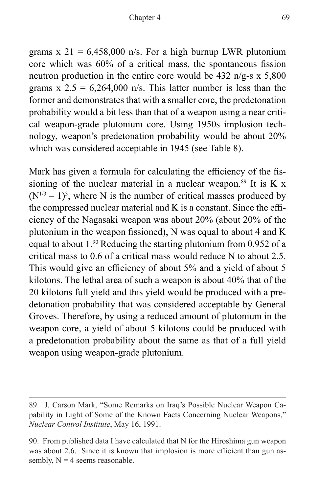grams  $x 21 = 6,458,000$  n/s. For a high burnup LWR plutonium core which was 60% of a critical mass, the spontaneous fission neutron production in the entire core would be  $432 \text{ n/g-s x } 5,800$ grams  $x \, 2.5 = 6,264,000 \, \text{n/s}$ . This latter number is less than the former and demonstrates that with a smaller core, the predetonation probability would a bit less than that of a weapon using a near critical weapon-grade plutonium core. Using 1950s implosion technology, weapon's predetonation probability would be about 20% which was considered acceptable in 1945 (see Table 8).

Mark has given a formula for calculating the efficiency of the fissioning of the nuclear material in a nuclear weapon.<sup>89</sup> It is K x  $(N^{1/3} – 1)^3$ , where N is the number of critical masses produced by the compressed nuclear material and K is a constant. Since the efficiency of the Nagasaki weapon was about 20% (about 20% of the plutonium in the weapon fissioned), N was equal to about 4 and K equal to about 1.90 Reducing the starting plutonium from 0.952 of a critical mass to 0.6 of a critical mass would reduce N to about 2.5. This would give an efficiency of about 5% and a yield of about 5 kilotons. The lethal area of such a weapon is about 40% that of the 20 kilotons full yield and this yield would be produced with a predetonation probability that was considered acceptable by General Groves. Therefore, by using a reduced amount of plutonium in the weapon core, a yield of about 5 kilotons could be produced with a predetonation probability about the same as that of a full yield weapon using weapon-grade plutonium.

<sup>89.</sup> J. Carson Mark, "Some Remarks on Iraq's Possible Nuclear Weapon Capability in Light of Some of the Known Facts Concerning Nuclear Weapons," *Nuclear Control Institute*, May 16, 1991.

<sup>90.</sup> From published data I have calculated that N for the Hiroshima gun weapon was about 2.6. Since it is known that implosion is more efficient than gun assembly,  $N = 4$  seems reasonable.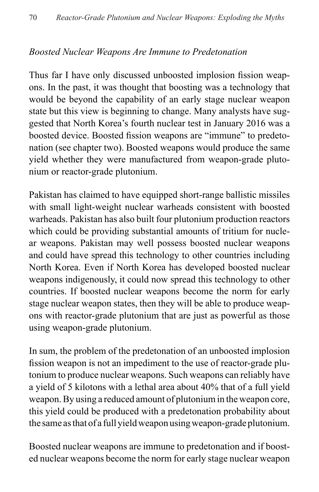#### *Boosted Nuclear Weapons Are Immune to Predetonation*

Thus far I have only discussed unboosted implosion fission weapons. In the past, it was thought that boosting was a technology that would be beyond the capability of an early stage nuclear weapon state but this view is beginning to change. Many analysts have suggested that North Korea's fourth nuclear test in January 2016 was a boosted device. Boosted fission weapons are "immune" to predetonation (see chapter two). Boosted weapons would produce the same yield whether they were manufactured from weapon-grade plutonium or reactor-grade plutonium.

Pakistan has claimed to have equipped short-range ballistic missiles with small light-weight nuclear warheads consistent with boosted warheads. Pakistan has also built four plutonium production reactors which could be providing substantial amounts of tritium for nuclear weapons. Pakistan may well possess boosted nuclear weapons and could have spread this technology to other countries including North Korea. Even if North Korea has developed boosted nuclear weapons indigenously, it could now spread this technology to other countries. If boosted nuclear weapons become the norm for early stage nuclear weapon states, then they will be able to produce weapons with reactor-grade plutonium that are just as powerful as those using weapon-grade plutonium.

In sum, the problem of the predetonation of an unboosted implosion fission weapon is not an impediment to the use of reactor-grade plutonium to produce nuclear weapons. Such weapons can reliably have a yield of 5 kilotons with a lethal area about 40% that of a full yield weapon. By using a reduced amount of plutonium in the weapon core, this yield could be produced with a predetonation probability about the same as that of a full yield weapon using weapon-grade plutonium.

Boosted nuclear weapons are immune to predetonation and if boosted nuclear weapons become the norm for early stage nuclear weapon